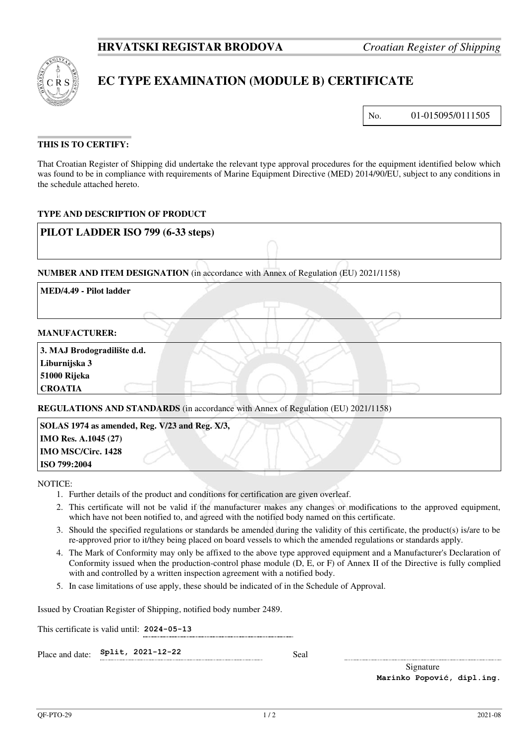

 $\overline{1}$ 

# **EC TYPE EXAMINATION (MODULE B) CERTIFICATE**

No. 01-015095/0111505

## **THIS IS TO CERTIFY:**

That Croatian Register of Shipping did undertake the relevant type approval procedures for the equipment identified below which was found to be in compliance with requirements of Marine Equipment Directive (MED) 2014/90/EU, subject to any conditions in the schedule attached hereto.

## **TYPE AND DESCRIPTION OF PRODUCT**

| PILOT LADDER ISO 799 (6-33 steps)            |                                                                                     |  |
|----------------------------------------------|-------------------------------------------------------------------------------------|--|
|                                              | NUMBER AND ITEM DESIGNATION (in accordance with Annex of Regulation (EU) 2021/1158) |  |
| MED/4.49 - Pilot ladder                      |                                                                                     |  |
|                                              |                                                                                     |  |
| <b>MANUFACTURER:</b>                         |                                                                                     |  |
| 3. MAJ Brodogradilište d.d.<br>Liburnijska 3 |                                                                                     |  |

**51000 Rijeka** 

**CROATIA**

**REGULATIONS AND STANDARDS** (in accordance with Annex of Regulation (EU) 2021/1158)

 **SOLAS 1974 as amended, Reg. V/23 and Reg. X/3, IMO Res. A.1045 (27) IMO MSC/Circ. 1428 ISO 799:2004**

NOTICE:

- 1. Further details of the product and conditions for certification are given overleaf.
- 2. This certificate will not be valid if the manufacturer makes any changes or modifications to the approved equipment, which have not been notified to, and agreed with the notified body named on this certificate.
- 3. Should the specified regulations or standards be amended during the validity of this certificate, the product(s) is/are to be re-approved prior to it/they being placed on board vessels to which the amended regulations or standards apply.
- 4. The Mark of Conformity may only be affixed to the above type approved equipment and a Manufacturer's Declaration of Conformity issued when the production-control phase module (D, E, or F) of Annex II of the Directive is fully complied with and controlled by a written inspection agreement with a notified body.
- 5. In case limitations of use apply, these should be indicated of in the Schedule of Approval.

Issued by Croatian Register of Shipping, notified body number 2489.

This certificate is valid until: **2024-05-13** 

Place and date:  $\text{Split}$ , 2021-12-22 Seal

Signature **Marinko Popović, dipl.ing.**